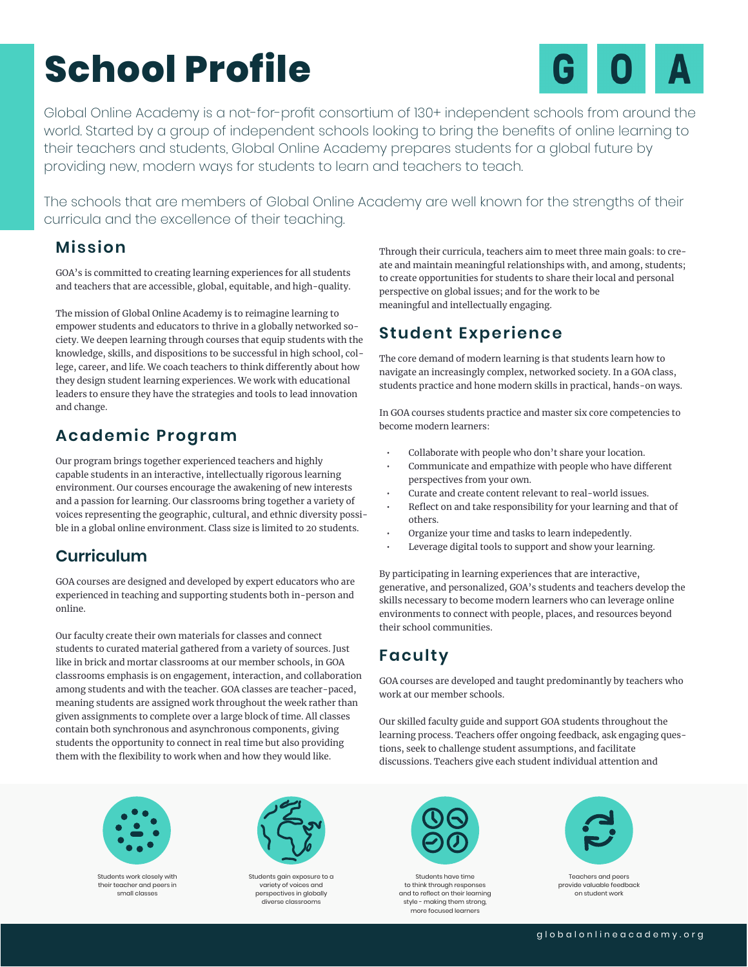# **School Profile**



Global Online Academy is a not-for-profit consortium of 130+ independent schools from around the world. Started by a group of independent schools looking to bring the benefits of online learning to their teachers and students, Global Online Academy prepares students for a global future by providing new, modern ways for students to learn and teachers to teach.

The schools that are members of Global Online Academy are well known for the strengths of their curricula and the excellence of their teaching.

### **Mission**

GOA's is committed to creating learning experiences for all students and teachers that are accessible, global, equitable, and high-quality.

The mission of Global Online Academy is to reimagine learning to empower students and educators to thrive in a globally networked society. We deepen learning through courses that equip students with the knowledge, skills, and dispositions to be successful in high school, college, career, and life. We coach teachers to think differently about how they design student learning experiences. We work with educational leaders to ensure they have the strategies and tools to lead innovation and change.

## **Academic Program**

Our program brings together experienced teachers and highly capable students in an interactive, intellectually rigorous learning environment. Our courses encourage the awakening of new interests and a passion for learning. Our classrooms bring together a variety of voices representing the geographic, cultural, and ethnic diversity possible in a global online environment. Class size is limited to 20 students.

### **Curriculum**

GOA courses are designed and developed by expert educators who are experienced in teaching and supporting students both in-person and online.

Our faculty create their own materials for classes and connect students to curated material gathered from a variety of sources. Just like in brick and mortar classrooms at our member schools, in GOA classrooms emphasis is on engagement, interaction, and collaboration among students and with the teacher. GOA classes are teacher-paced, meaning students are assigned work throughout the week rather than given assignments to complete over a large block of time. All classes contain both synchronous and asynchronous components, giving students the opportunity to connect in real time but also providing them with the flexibility to work when and how they would like.

Through their curricula, teachers aim to meet three main goals: to create and maintain meaningful relationships with, and among, students; to create opportunities for students to share their local and personal perspective on global issues; and for the work to be meaningful and intellectually engaging.

## **Student Experience**

The core demand of modern learning is that students learn how to navigate an increasingly complex, networked society. In a GOA class, students practice and hone modern skills in practical, hands-on ways.

In GOA courses students practice and master six core competencies to become modern learners:

- Collaborate with people who don't share your location.
- Communicate and empathize with people who have different perspectives from your own.
- Curate and create content relevant to real-world issues.
- Reflect on and take responsibility for your learning and that of others.
- Organize your time and tasks to learn indepedently.
- Leverage digital tools to support and show your learning.

By participating in learning experiences that are interactive, generative, and personalized, GOA's students and teachers develop the skills necessary to become modern learners who can leverage online environments to connect with people, places, and resources beyond their school communities.

## **Faculty**

GOA courses are developed and taught predominantly by teachers who work at our member schools.

Our skilled faculty guide and support GOA students throughout the learning process. Teachers offer ongoing feedback, ask engaging questions, seek to challenge student assumptions, and facilitate discussions. Teachers give each student individual attention and



Students work closely with their teacher and peers in small classes



Students gain exposure to a variety of voices and perspectives in globally diverse classrooms



Students have time to think through responses and to reflect on their learning style - making them strong, more focused learners



Teachers and peers provide valuable feedback on student work